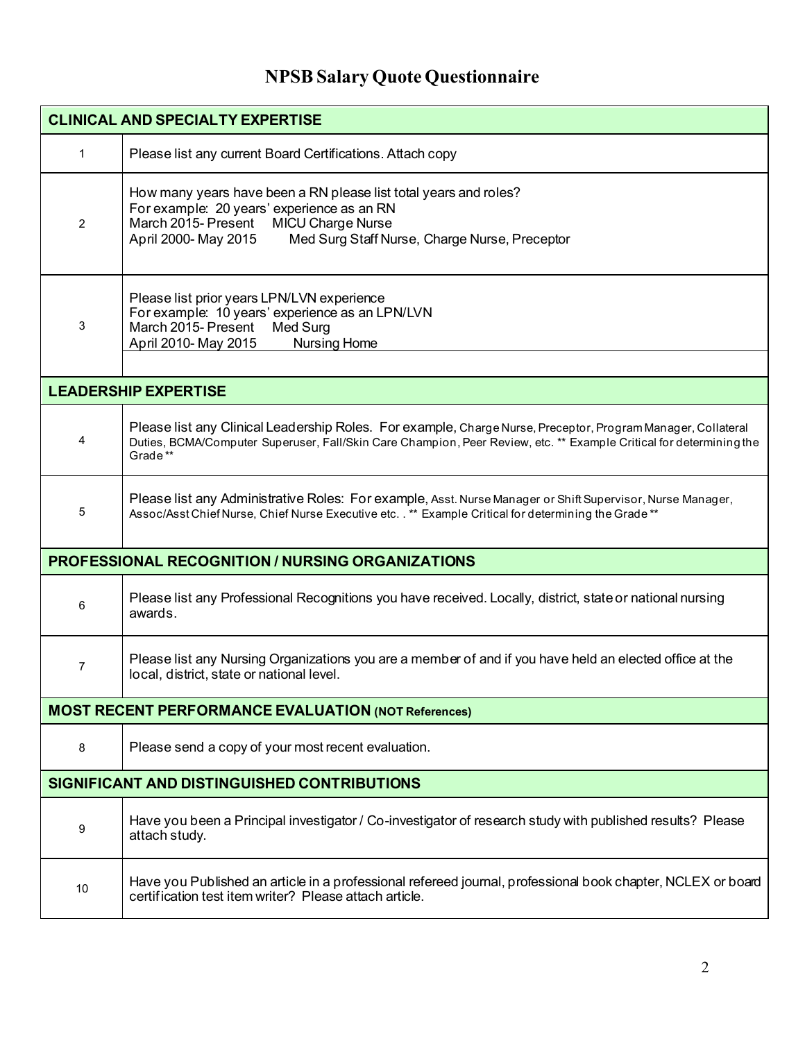## **NPSB Salary Quote Questionnaire**

| <b>CLINICAL AND SPECIALTY EXPERTISE</b>                    |                                                                                                                                                                                                                                                |
|------------------------------------------------------------|------------------------------------------------------------------------------------------------------------------------------------------------------------------------------------------------------------------------------------------------|
| $\mathbf{1}$                                               | Please list any current Board Certifications. Attach copy                                                                                                                                                                                      |
| $\overline{2}$                                             | How many years have been a RN please list total years and roles?<br>For example: 20 years' experience as an RN<br>March 2015- Present<br><b>MICU Charge Nurse</b><br>April 2000- May 2015<br>Med Surg Staff Nurse, Charge Nurse, Preceptor     |
| 3                                                          | Please list prior years LPN/LVN experience<br>For example: 10 years' experience as an LPN/LVN<br>March 2015- Present<br>Med Surg<br><b>Nursing Home</b><br>April 2010- May 2015                                                                |
|                                                            |                                                                                                                                                                                                                                                |
| <b>LEADERSHIP EXPERTISE</b>                                |                                                                                                                                                                                                                                                |
| 4                                                          | Please list any Clinical Leadership Roles. For example, Charge Nurse, Preceptor, Program Manager, Collateral<br>Duties, BCMA/Computer Superuser, Fall/Skin Care Champion, Peer Review, etc. ** Example Critical for determining the<br>Grade** |
| 5                                                          | Please list any Administrative Roles: For example, Asst. Nurse Manager or Shift Supervisor, Nurse Manager,<br>Assoc/Asst Chief Nurse, Chief Nurse Executive etc. . ** Example Critical for determining the Grade **                            |
| <b>PROFESSIONAL RECOGNITION / NURSING ORGANIZATIONS</b>    |                                                                                                                                                                                                                                                |
| 6                                                          | Please list any Professional Recognitions you have received. Locally, district, state or national nursing<br>awards.                                                                                                                           |
| $\overline{7}$                                             | Please list any Nursing Organizations you are a member of and if you have held an elected office at the<br>local, district, state or national level.                                                                                           |
| <b>MOST RECENT PERFORMANCE EVALUATION (NOT References)</b> |                                                                                                                                                                                                                                                |
| 8                                                          | Please send a copy of your most recent evaluation.                                                                                                                                                                                             |
| SIGNIFICANT AND DISTINGUISHED CONTRIBUTIONS                |                                                                                                                                                                                                                                                |
| 9                                                          | Have you been a Principal investigator / Co-investigator of research study with published results? Please<br>attach study.                                                                                                                     |
| 10                                                         | Have you Published an article in a professional refereed journal, professional book chapter, NCLEX or board<br>certification test item writer? Please attach article.                                                                          |